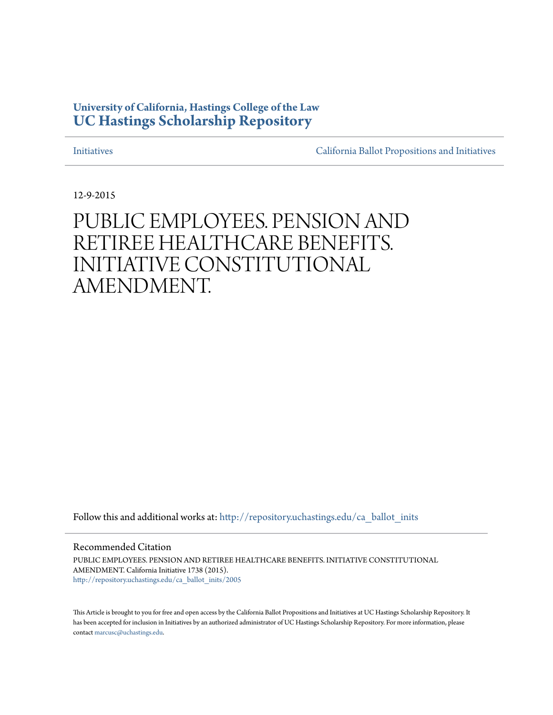#### **University of California, Hastings College of the Law [UC Hastings Scholarship Repository](http://repository.uchastings.edu?utm_source=repository.uchastings.edu%2Fca_ballot_inits%2F2005&utm_medium=PDF&utm_campaign=PDFCoverPages)**

[Initiatives](http://repository.uchastings.edu/ca_ballot_inits?utm_source=repository.uchastings.edu%2Fca_ballot_inits%2F2005&utm_medium=PDF&utm_campaign=PDFCoverPages) [California Ballot Propositions and Initiatives](http://repository.uchastings.edu/ca_ballots?utm_source=repository.uchastings.edu%2Fca_ballot_inits%2F2005&utm_medium=PDF&utm_campaign=PDFCoverPages)

12-9-2015

#### PUBLIC EMPLOYEES. PENSION AND RETIREE HEALTHCARE BENEFITS. INITIATIVE CONSTITUTIONAL AMENDMENT.

Follow this and additional works at: [http://repository.uchastings.edu/ca\\_ballot\\_inits](http://repository.uchastings.edu/ca_ballot_inits?utm_source=repository.uchastings.edu%2Fca_ballot_inits%2F2005&utm_medium=PDF&utm_campaign=PDFCoverPages)

Recommended Citation

PUBLIC EMPLOYEES. PENSION AND RETIREE HEALTHCARE BENEFITS. INITIATIVE CONSTITUTIONAL AMENDMENT. California Initiative 1738 (2015). [http://repository.uchastings.edu/ca\\_ballot\\_inits/2005](http://repository.uchastings.edu/ca_ballot_inits/2005?utm_source=repository.uchastings.edu%2Fca_ballot_inits%2F2005&utm_medium=PDF&utm_campaign=PDFCoverPages)

This Article is brought to you for free and open access by the California Ballot Propositions and Initiatives at UC Hastings Scholarship Repository. It has been accepted for inclusion in Initiatives by an authorized administrator of UC Hastings Scholarship Repository. For more information, please contact [marcusc@uchastings.edu](mailto:marcusc@uchastings.edu).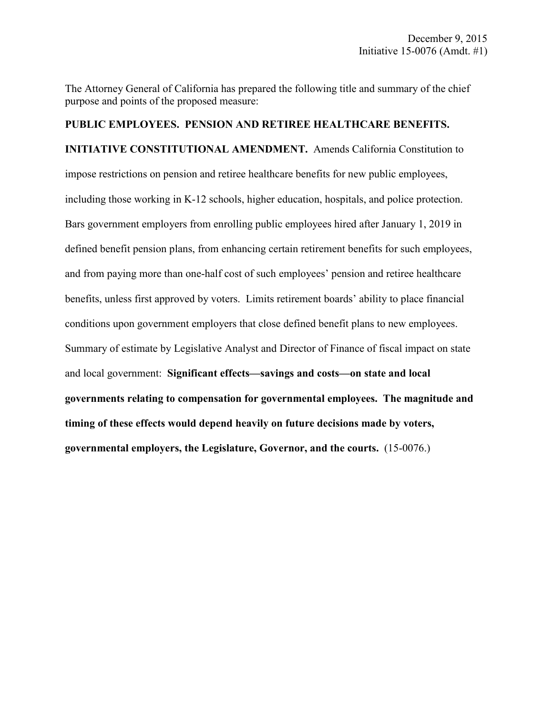The Attorney General of California has prepared the following title and summary of the chief purpose and points of the proposed measure:

### **PUBLIC EMPLOYEES. PENSION AND RETIREE HEALTHCARE BENEFITS. INITIATIVE CONSTITUTIONAL AMENDMENT.** Amends California Constitution to impose restrictions on pension and retiree healthcare benefits for new public employees, including those working in K-12 schools, higher education, hospitals, and police protection. Bars government employers from enrolling public employees hired after January 1, 2019 in defined benefit pension plans, from enhancing certain retirement benefits for such employees, and from paying more than one-half cost of such employees' pension and retiree healthcare benefits, unless first approved by voters. Limits retirement boards' ability to place financial conditions upon government employers that close defined benefit plans to new employees. Summary of estimate by Legislative Analyst and Director of Finance of fiscal impact on state and local government: **Significant effects—savings and costs—on state and local governments relating to compensation for governmental employees. The magnitude and timing of these effects would depend heavily on future decisions made by voters, governmental employers, the Legislature, Governor, and the courts.** (15-0076.)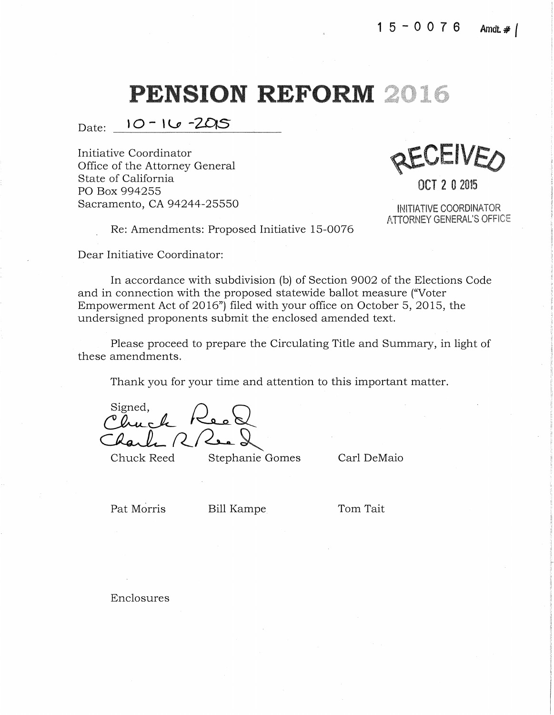Date: **10- \v** -ZDIS

Initiative Coordinator Office of the Attorney General State of California PO Box 994255 Sacramento, CA 94244-25550

REVEIVED

**OCT 2 0** <sup>2015</sup>

INITIATIVE COORDINATOR ATTORNEY GENERAL'S OFFICE

> I i: r

Re: Amendments: Proposed Initiative 15-0076

Dear Initiative Coordinator:

In accordance with subdivision (b) of Section 9002 of the Elections Code and in connection with the proposed statewide ballot measure ("Voter Empowerment Act of 2016") filed with your office on October 5, 2015, the undersigned proponents submit the enclosed amended text.

Please proceed to prepare the Circulating Title and Summary, in light of these amendments.

Thank you for your time and attention to this important matter.

Signed,

Chuck Reed Stephanie Gomes Carl DeMaio

Pat Morris Bill Kampe Tom Tait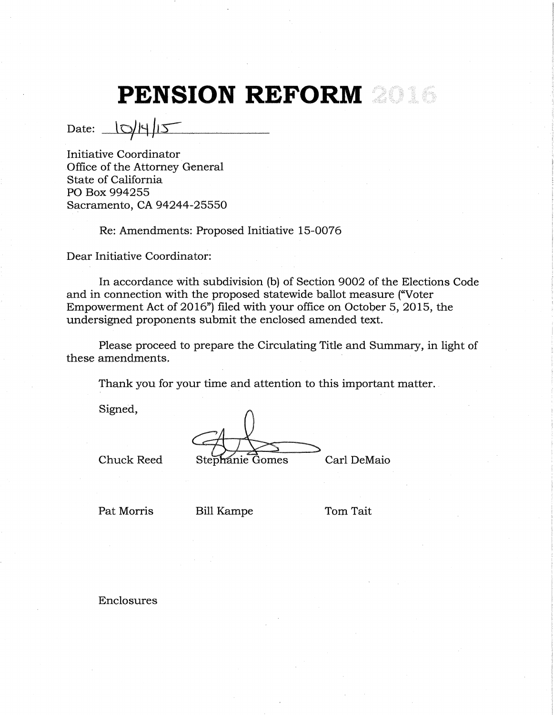Date:  $|O/|\frac{4}{5}|$ 

Initiative Coordinator Office of the Attorney General State of California PO Box 994255 Sacramento, CA 94244-25550

Re: Amendments: Proposed Initiative 15-0076

Dear Initiative Coordinator:

In accordance with subdivision (b) of Section 9002 of the Elections Code and in connection with the proposed statewide ballot measure ("Voter Empowerment Act of 2016") filed with your office on October 5, 2015, the undersigned proponents submit the enclosed amended text.

Please proceed to prepare the Circulating Title and Summary, in light of these amendments.

Thank you for your time and attention to this important matter.

Signed,

Chuck Reed Stephanie Gomes Carl DeMaio

Pat Morris Bill Kampe Tom Tait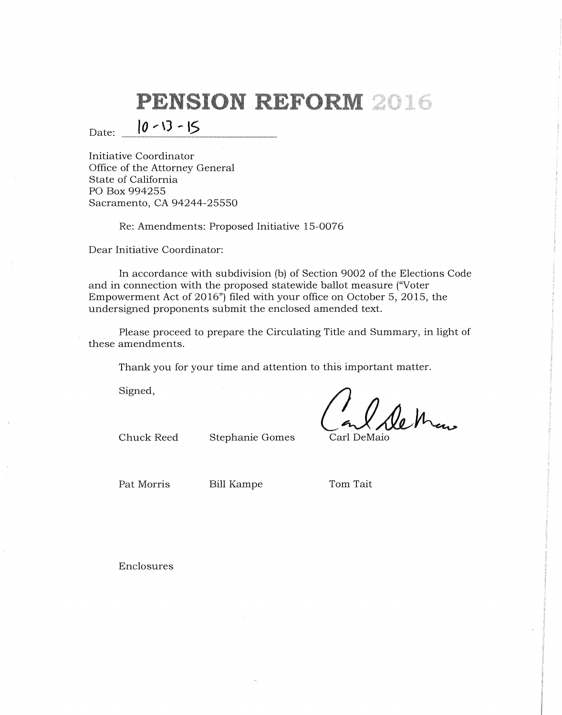Date:  $|0 - 13 - 15|$ 

Initiative Coordinator Office of the Attorney General State of California PO Box 994255 Sacramento, CA 94244-25550

Re: Amendments: Proposed Initiative 15-0076

Dear Initiative Coordinator:

In accordance with subdivision (b) of Section 9002 of the Elections Code and in connection with the proposed statewide ballot measure ("Voter Empowerment Act of 2016") filed with your office on October 5, 2015, the undersigned proponents submit the enclosed amended text.

Please proceed to prepare the Circulating Title and Summary, in light of these amendments.

Thank you for your time and attention to this important matter.

Signed,

le Man

Chuck Reed Stephanie Gomes Carl DeMaio

Pat Morris Bill Kampe Tom Tait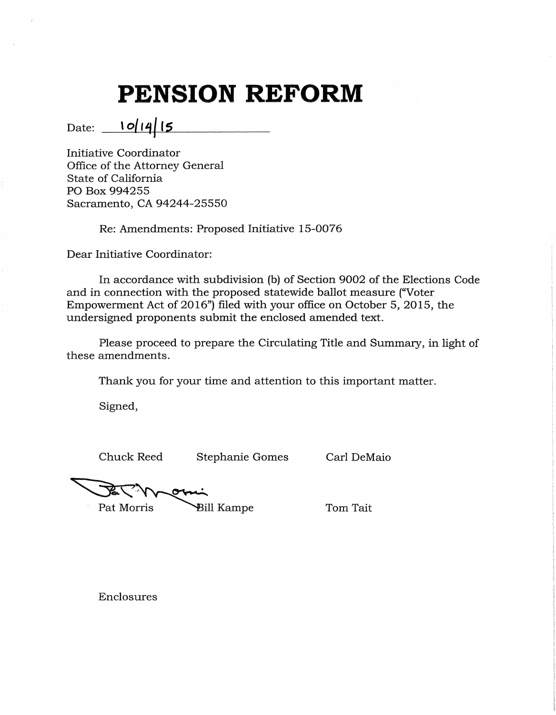Date: **10/14/15** 

Initiative Coordinator Office of the Attorney General State of California PO Box 994255 Sacramento, CA 94244-25550

Re: Amendments: Proposed Initiative 15-0076

Dear Initiative Coordinator:

In accordance with subdivision (b) of Section 9002 of the Elections Code and in connection with the proposed statewide ballot measure {"Voter Empowerment Act of 2016") filed with your office on October 5, 2015, the undersigned proponents submit the enclosed amended text.

Please proceed to prepare the Circulating Title and Summary, in light of these amendments.

Thank you for your time and attention to this important matter.

Signed,

Chuck Reed Stephanie Gomes Carl DeMaio

Pat Morris

**Bill Kampe** 

Tom Tait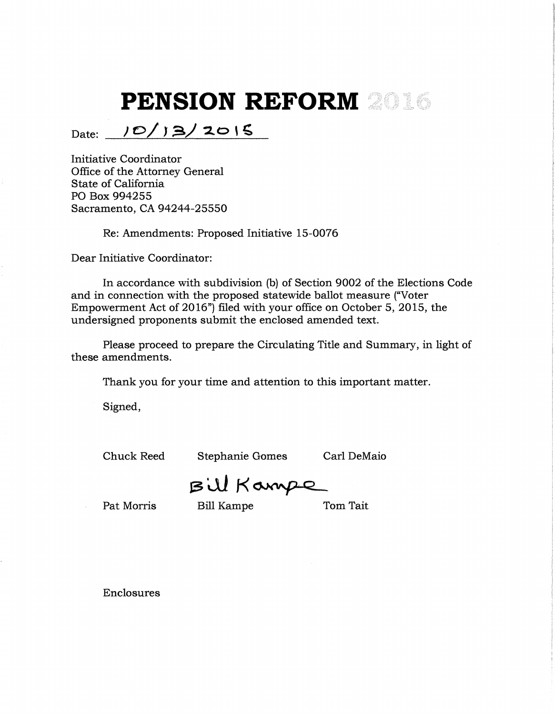Date: 10/13/2015

Initiative Coordinator Office of the Attorney General State of California PO Box 994255 Sacramento, CA 94244-25550

Re: Amendments: Proposed Initiative 15-0076

Dear Initiative Coordinator:

In accordance with subdivision (b) of Section 9002 of the Elections Code and in connection with the proposed statewide ballot measure ("Voter Empowerment Act of 2016") filed with your office on October 5, 2015, the undersigned proponents submit the enclosed amended text.

Please proceed to prepare the Circulating Title and Summary, in light of these amendments.

Thank you for your time and attention to this important matter.

Signed,

Chuck Reed Stephanie Gomes Carl DeMaio

Bill Kampe

Pat Morris Bill Kampe Tom Tait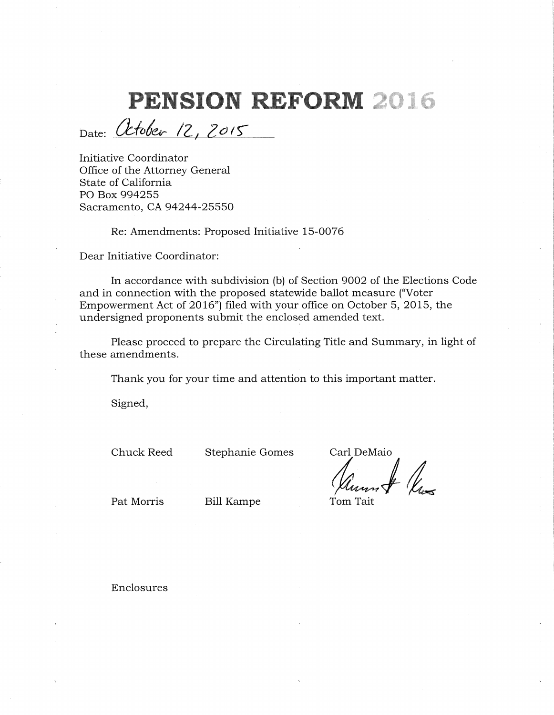# **ION REFOI**

Date: *Utober* 12, 2015 '

Initiative Coordinator Office of the Attorney General State of California PO Box 994255 Sacramento, CA 94244-25550

Re: Amendments: Proposed Initiative 15-0076

Dear Initiative Coordinator:

In accordance with subdivision (b) of Section 9002 of the Elections Code and in connection with the proposed statewide ballot measure ("Voter Empowerment Act of 2016") filed with your office on October 5, 2015, the undersigned proponents submit the enclosed amended text.

Please proceed to prepare the Circulating Title and Summary, in light of these amendments.

Thank you for your time and attention to this important matter.

Signed,

Chuck Reed Stephanie Gomes Carl DeMaio

Vernot Vus

Pat Morris Bill Kampe Tom Tait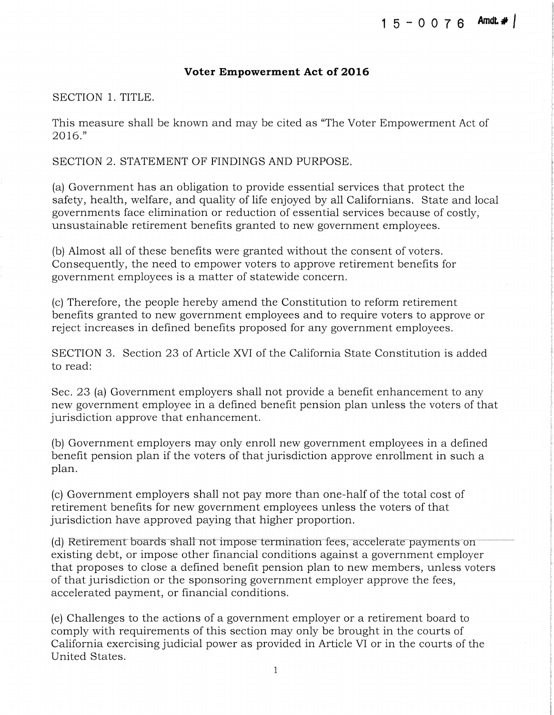#### **Voter Empowerment Act of 2016**

SECTION 1. TITLE.

This measure shall be known and may be cited as "The Voter Empowerment Act of 2016."

SECTION 2. STATEMENT OF FINDINGS AND PURPOSE.

(a) Government has an obligation to provide essential services that protect the safety, health, welfare, and quality of life enjoyed by all Californians. State and local governments face elimination or reduction of essential services because of costly, unsustainable retirement benefits granted to new government employees.

(b) Almost all of these benefits were granted without the consent of voters. Consequently, the need to empower voters to approve retirement benefits for government employees is a matter of statewide concern.

(c) Therefore, the people hereby amend the Constitution to reform retirement benefits granted to new government employees and to require voters to approve or reject increases in defined benefits proposed for any government employees.

SECTION 3. Section 23 of Article XVI of the California State Constitution is added to read:

Sec. 23 (a) Government employers shall not provide a benefit enhancement to any new government employee in a defined benefit pension plan unless the voters of that jurisdiction approve that enhancement.

(b) Government employers may only enroll new government employees in a defined benefit pension plan if the voters of that jurisdiction approve enrollment in such a plan.

(c) Government employers shall not pay more than one-half of the total cost of retirement benefits for new government employees unless the voters of that jurisdiction have approved paying that higher proportion.

(d) Retirement boards shall not impose termination fees, accelerate payments on existing debt, or impose other financial conditions against a government employer that proposes to close a defined benefit pension plan to new members, unless voters of that jurisdiction or the sponsoring government employer approve the fees, accelerated payment, or financial conditions.

(e) Challenges to the actions of a government employer or a retirement board to comply with requirements of this section may only be brought in the courts of California exercising judicial power as provided in Article VI or in the courts of the United States.

1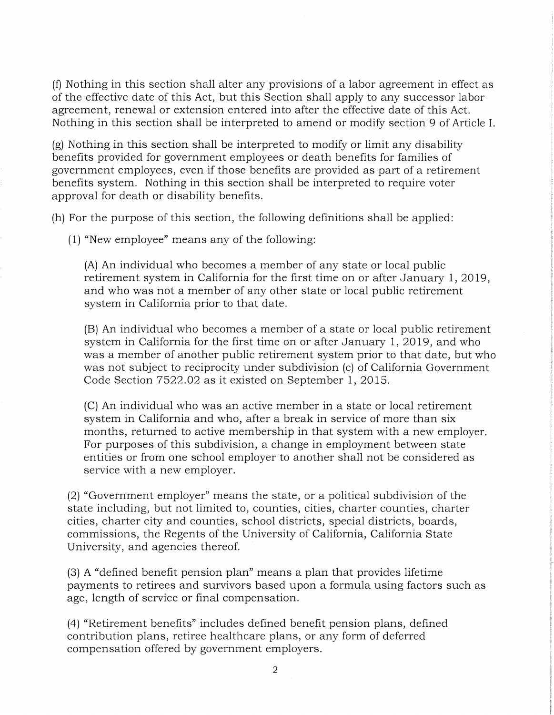(f) Nothing in this section shall alter any provisions of a labor agreement in effect as of the effective date of this Act, but this Section shall apply to any successor labor agreement, renewal or extension entered into after the effective date of this Act. Nothing in this section shall be interpreted to amend or modify section 9 of Article I.

(g) Nothing in this section shall be interpreted to modify or limit any disability benefits provided for government employees or death benefits for families of government employees, even if those benefits are provided as part of a retirement benefits system. Nothing in this section shall be interpreted to require voter approval for death or disability benefits.

(h) For the purpose of this section, the following definitions shall be applied:

(1) "New employee" means any of the following:

(A) An individual who becomes a member of any state or local public retirement system in California for the first time on or after January 1, 2019, and who was not a member of any other state or local public retirement system in California prior to that date.

(B) An individual who becomes a member of a state or local public retirement system in California for the first time on or after January 1, 2019, and who was a member of another public retirement system prior to that date, but who was not subject to reciprocity under subdivision (c) of California Government Code Section 7522.02 as it existed on September 1, 2015.

(C) An individual who was an active member in a state or local retirement system in California and who, after a break in service of more than six months, returned to active membership in that system with a new employer. For purposes of this subdivision, a change in employment between state entities or from one school employer to another shall not be considered as service with a new employer.

(2) "Government employer" means the state, or a political subdivision of the state including, but not limited to, counties, cities, charter counties, charter cities, charter city and counties, school districts, special districts, boards, commissions, the Regents of the University of California, California State University, and agencies thereof.

(3) A "defined benefit pension plan" means a plan that provides lifetime payments to retirees and survivors based upori a formula using factors such as age, length of service or final compensation.

(4) "Retirement benefits" includes defined benefit pension plans, defined contribution plans, retiree healthcare plans, or any form of deferred compensation offered by government employers.